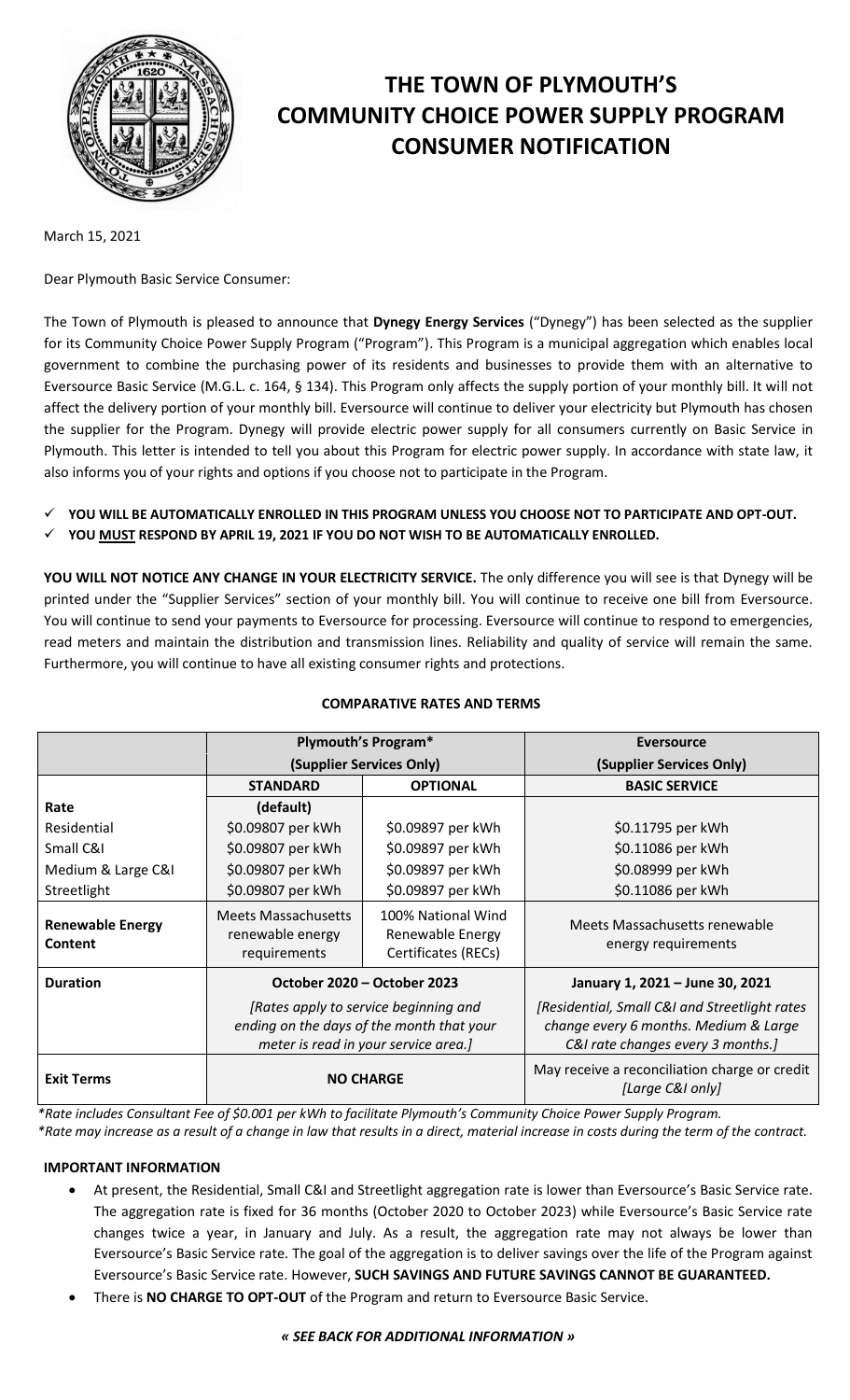

# **THE TOWN OF PLYMOUTH'S COMMUNITY CHOICE POWER SUPPLY PROGRAM CONSUMER NOTIFICATION**

March 15, 2021

Dear Plymouth Basic Service Consumer:

The Town of Plymouth is pleased to announce that **Dynegy Energy Services** ("Dynegy") has been selected as the supplier for its Community Choice Power Supply Program ("Program"). This Program is a municipal aggregation which enables local government to combine the purchasing power of its residents and businesses to provide them with an alternative to Eversource Basic Service (M.G.L. c. 164, § 134). This Program only affects the supply portion of your monthly bill. It will not affect the delivery portion of your monthly bill. Eversource will continue to deliver your electricity but Plymouth has chosen the supplier for the Program. Dynegy will provide electric power supply for all consumers currently on Basic Service in Plymouth. This letter is intended to tell you about this Program for electric power supply. In accordance with state law, it also informs you of your rights and options if you choose not to participate in the Program.

- **YOU WILL BE AUTOMATICALLY ENROLLED IN THIS PROGRAM UNLESS YOU CHOOSE NOT TO PARTICIPATE AND OPT-OUT.**
- **YOU MUST RESPOND BY APRIL 19, 2021 IF YOU DO NOT WISH TO BE AUTOMATICALLY ENROLLED.**

**YOU WILL NOT NOTICE ANY CHANGE IN YOUR ELECTRICITY SERVICE.** The only difference you will see is that Dynegy will be printed under the "Supplier Services" section of your monthly bill. You will continue to receive one bill from Eversource. You will continue to send your payments to Eversource for processing. Eversource will continue to respond to emergencies, read meters and maintain the distribution and transmission lines. Reliability and quality of service will remain the same. Furthermore, you will continue to have all existing consumer rights and protections.

|                                    | Plymouth's Program*                                                                                                        |                                                               | <b>Eversource</b>                                                                                                            |
|------------------------------------|----------------------------------------------------------------------------------------------------------------------------|---------------------------------------------------------------|------------------------------------------------------------------------------------------------------------------------------|
|                                    | (Supplier Services Only)                                                                                                   |                                                               | (Supplier Services Only)                                                                                                     |
|                                    | <b>STANDARD</b>                                                                                                            | <b>OPTIONAL</b>                                               | <b>BASIC SERVICE</b>                                                                                                         |
| Rate                               | (default)                                                                                                                  |                                                               |                                                                                                                              |
| Residential                        | \$0.09807 per kWh                                                                                                          | \$0.09897 per kWh                                             | \$0.11795 per kWh                                                                                                            |
| Small C&I                          | \$0.09807 per kWh                                                                                                          | \$0.09897 per kWh                                             | \$0.11086 per kWh                                                                                                            |
| Medium & Large C&I                 | \$0.09807 per kWh                                                                                                          | \$0.09897 per kWh                                             | \$0.08999 per kWh                                                                                                            |
| Streetlight                        | \$0.09807 per kWh                                                                                                          | \$0.09897 per kWh                                             | \$0.11086 per kWh                                                                                                            |
| <b>Renewable Energy</b><br>Content | <b>Meets Massachusetts</b><br>renewable energy<br>requirements                                                             | 100% National Wind<br>Renewable Energy<br>Certificates (RECs) | Meets Massachusetts renewable<br>energy requirements                                                                         |
| <b>Duration</b>                    | October 2020 – October 2023                                                                                                |                                                               | January 1, 2021 - June 30, 2021                                                                                              |
|                                    | [Rates apply to service beginning and<br>ending on the days of the month that your<br>meter is read in your service area.] |                                                               | [Residential, Small C&I and Streetlight rates]<br>change every 6 months. Medium & Large<br>C&I rate changes every 3 months.] |
| <b>Exit Terms</b>                  | <b>NO CHARGE</b>                                                                                                           |                                                               | May receive a reconciliation charge or credit<br>[Large C&I only]                                                            |

# **COMPARATIVE RATES AND TERMS**

*\*Rate includes Consultant Fee of \$0.001 per kWh to facilitate Plymouth's Community Choice Power Supply Program. \*Rate may increase as a result of a change in law that results in a direct, material increase in costs during the term of the contract.*

## **IMPORTANT INFORMATION**

- At present, the Residential, Small C&I and Streetlight aggregation rate is lower than Eversource's Basic Service rate. The aggregation rate is fixed for 36 months (October 2020 to October 2023) while Eversource's Basic Service rate changes twice a year, in January and July. As a result, the aggregation rate may not always be lower than Eversource's Basic Service rate. The goal of the aggregation is to deliver savings over the life of the Program against Eversource's Basic Service rate. However, **SUCH SAVINGS AND FUTURE SAVINGS CANNOT BE GUARANTEED.**
- There is **NO CHARGE TO OPT-OUT** of the Program and return to Eversource Basic Service.